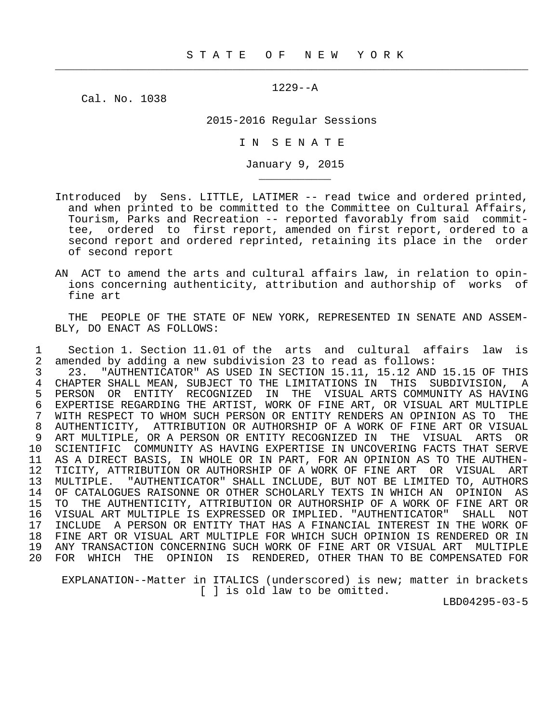$\frac{1}{2}$  , and the contribution of the contribution of the contribution of the contribution of the contribution of the contribution of the contribution of the contribution of the contribution of the contribution of the c

1229--A

Cal. No. 1038

\_\_\_\_\_\_\_\_\_\_\_

2015-2016 Regular Sessions

I N S E N A T E

January 9, 2015

- Introduced by Sens. LITTLE, LATIMER -- read twice and ordered printed, and when printed to be committed to the Committee on Cultural Affairs, Tourism, Parks and Recreation -- reported favorably from said commit tee, ordered to first report, amended on first report, ordered to a second report and ordered reprinted, retaining its place in the order of second report
- AN ACT to amend the arts and cultural affairs law, in relation to opin ions concerning authenticity, attribution and authorship of works of fine art

 THE PEOPLE OF THE STATE OF NEW YORK, REPRESENTED IN SENATE AND ASSEM- BLY, DO ENACT AS FOLLOWS:

1 Section 1. Section 11.01 of the arts and cultural affairs law is<br>2 amended by adding a new subdivision 23 to read as follows: 2 amended by adding a new subdivision 23 to read as follows: 3 23. "AUTHENTICATOR" AS USED IN SECTION 15.11, 15.12 AND 15.15 OF THIS<br>4 CHAPTER SHALL MEAN, SUBJECT TO THE LIMITATIONS IN THIS SUBDIVISION, A 4 CHAPTER SHALL MEAN, SUBJECT TO THE LIMITATIONS IN THIS SUBDIVISION, A<br>5 PERSON OR ENTITY RECOGNIZED IN THE VISUAL ARTS-COMMUNITY AS HAVING 5 PERSON OR ENTITY RECOGNIZED IN THE VISUAL— ARTS COMMUNITY AS HAVING<br>6 EXPERTISE REGARDING THE ARTIST, WORK OF FINE ART, OR VISUAL ART MULTIPLE FING THAN THE EXPERIES REGARDING THE ARTIST, WORK OF FINE ART, OR VISUAL ART MULTIPLE<br>7 WITH RESPECT TO WHOM SUCH PERSON OR ENTITY RENDERS AN OPINION AS TO THE 7 WITH RESPECT TO WHOM SUCH PERSON OR ENTITY RENDERS AN OPINION AS TO THE 8 AUTHENTICITY, ATTRIBUTION OR AUTHORSHIP OF A WORK OF FINE ART OR VISUAL 8 AUTHENTICITY, ATTRIBUTION OR AUTHORSHIP OF A WORK OF FINE ART OR VISUAL<br>9 ART MULTIPLE, OR A PERSON OR ENTITY RECOGNIZED IN THE VISUAL ARTS OR 9 ART MULTIPLE, OR A PERSON OR ENTITY RECOGNIZED IN THE VISUAL ARTS OR<br>10 SCIENTIFIC COMMUNITY AS HAVING EXPERTISE IN UNCOVERING FACTS THAT SERVE SCIENTIFIC COMMUNITY AS HAVING EXPERTISE IN UNCOVERING FACTS THAT SERVE 11 AS A DIRECT BASIS, IN WHOLE OR IN PART, FOR AN OPINION AS TO THE AUTHEN- 12 TICITY, ATTRIBUTION OR AUTHORSHIP OF A WORK OF FINE ART OR VISUAL ART<br>13 MULTIPLE. "AUTHENTICATOR" SHALL INCLUDE, BUT NOT BE LIMITED TO, AUTHORS 13 MULTIPLE. "AUTHENTICATOR" SHALL INCLUDE, BUT NOT BE LIMITED TO, AUTHORS<br>14 OF CATALOGUES RAISONNE OR OTHER SCHOLARLY TEXTS IN WHICH AN OPINION AS 14 OF CATALOGUES RAISONNE OR OTHER SCHOLARLY TEXTS IN WHICH AN OPINION AS 15 TO THE AUTHENTICITY, ATTRIBUTION OR AUTHORSHIP OF A WORK OF FINE ART OR 16 VISUAL ART MULTIPLE IS EXPRESSED OR IMPLIED. "AUTHENTICATOR" SHALL NOT 17 INCLUDE A PERSON OR ENTITY THAT HAS A FINANCIAL INTEREST IN THE WORK OF<br>18 FINE ART OR VISUAL ART MULTIPLE FOR WHICH SUCH OPINION IS RENDERED OR IN 18 FINE ART OR VISUAL ART MULTIPLE FOR WHICH SUCH OPINION IS RENDERED OR IN 19 ANY TRANSACTION CONCERNING SUCH WORK OF FINE ART OR VISUAL ART MULTIPLE 20 FOR WHICH THE OPINION IS RENDERED, OTHER THAN TO BE COMPENSATED FOR

 EXPLANATION--Matter in ITALICS (underscored) is new; matter in brackets [ ] is old law to be omitted.

LBD04295-03-5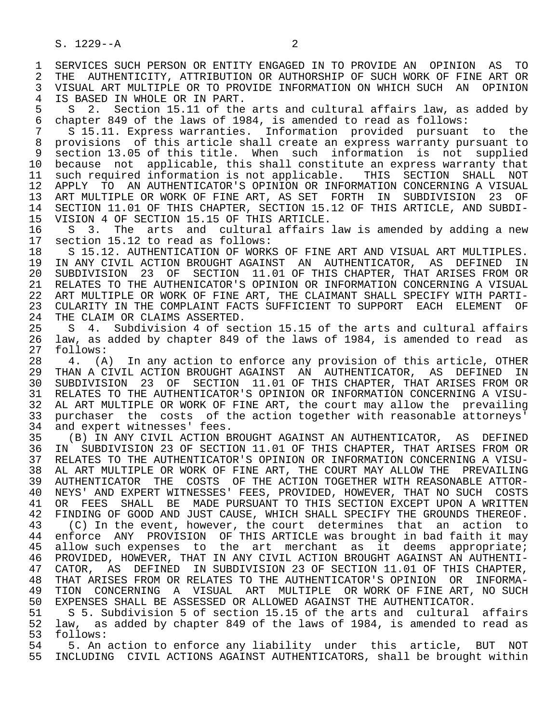1 SERVICES SUCH PERSON OR ENTITY ENGAGED IN TO PROVIDE AN OPINION AS TO<br>2 THE AUTHENTICITY, ATTRIBUTION OR AUTHORSHIP OF SUCH WORK OF FINE ART OR 2 THE AUTHENTICITY, ATTRIBUTION OR AUTHORSHIP OF SUCH WORK OF FINE ART OR<br>3 VISUAL ART MULTIPLE OR TO PROVIDE INFORMATION ON WHICH SUCH AN OPINION 3 VISUAL ART MULTIPLE OR TO PROVIDE INFORMATION ON WHICH SUCH AN OPINION 4 IS BASED IN WHOLE OR IN PART.<br>5 S 2. Section 15.11 of the

5 S 2. Section 15.11 of the arts and cultural affairs law, as added by<br>6 chapter 849 of the laws of 1984, is amended to read as follows: 6 chapter 849 of the laws of 1984, is amended to read as follows:

 $S$  15.11. Express warranties. Information provided pursuant to the 8 provisions of this article shall create an express warranty pursuant to 9 section 13.05 of this title. When such information is not supplied<br>10 because not applicable, this shall constitute an express warranty that 10 because not applicable, this shall constitute an express warranty that<br>11 such required information is not applicable. THIS SECTION SHALL NOT 11 such required information is not applicable. THIS SECTION SHALL NOT<br>12 APPLY TO AN AUTHENTICATOR'S OPINION OR INFORMATION CONCERNING A VISUAL 12 APPLY TO AN AUTHENTICATOR'S OPINION OR INFORMATION CONCERNING A VISUAL 13 ART MULTIPLE OR WORK OF FINE ART, AS SET FORTH IN SUBDIVISION 23 OF<br>14 SECTION 11.01 OF THIS CHAPTER, SECTION 15.12 OF THIS ARTICLE, AND SUBDI-SECTION 11.01 OF THIS CHAPTER, SECTION 15.12 OF THIS ARTICLE, AND SUBDI-

15 VISION 4 OF SECTION 15.15 OF THIS ARTICLE.<br>16 S 3. The arts and cultural affairs 16 S 3. The arts and cultural affairs law is amended by adding a new<br>17 section 15.12 to read as follows: 17 section 15.12 to read as follows:<br>18 S 15.12. AUTHENTICATION OF WORK

18 S 15.12. AUTHENTICATION OF WORKS OF FINE ART AND VISUAL ART MULTIPLES.<br>19 IN ANY CIVIL ACTION BROUGHT AGAINST AN AUTHENTICATOR, AS DEFINED IN 19 IN ANY CIVIL ACTION BROUGHT AGAINST AN AUTHENTICATOR, AS DEFINED IN<br>20 SUBDIVISION 23 OF SECTION 11.01 OF THIS CHAPTER, THAT ARISES FROM OR 20 SUBDIVISION 23 OF SECTION 11.01 OF THIS CHAPTER, THAT ARISES FROM OR<br>21 RELATES TO THE AUTHENICATOR'S OPINION OR INFORMATION CONCERNING A VISUAL 21 RELATES TO THE AUTHENICATOR'S OPINION OR INFORMATION CONCERNING A VISUAL<br>22 ART MULTIPLE OR WORK OF FINE ART, THE CLAIMANT SHALL SPECIFY WITH PARTI-22 ART MULTIPLE OR WORK OF FINE ART, THE CLAIMANT SHALL SPECIFY WITH PARTI-<br>23 CULARITY IN THE COMPLAINT FACTS SUFFICIENT TO SUPPORT EACH ELEMENT OF 23 CULARITY IN THE COMPLAINT FACTS SUFFICIENT TO SUPPORT EACH ELEMENT OF

24 THE CLAIM OR CLAIMS ASSERTED.<br>25 S 4. Subdivision 4 of sec 25 S 4. Subdivision 4 of section 15.15 of the arts and cultural affairs 26 law, as added by chapter 849 of the laws of 1984, is amended to read as 27 follows:<br>28 4. (A

28 4. (A) In any action to enforce any provision of this article, OTHER<br>29 THAN A CIVIL ACTION BROUGHT AGAINST AN AUTHENTICATOR, AS DEFINED IN 29 THAN A CIVIL ACTION BROUGHT AGAINST AN AUTHENTICATOR, AS DEFINED IN<br>30 SUBDIVISION 23 OF SECTION 11.01 OF THIS CHAPTER, THAT ARISES FROM OR 30 SUBDIVISION 23 OF SECTION 11.01 OF THIS CHAPTER, THAT ARISES FROM OR<br>31 RELATES TO THE AUTHENTICATOR'S OPINION OR INFORMATION CONCERNING A VISU-31 RELATES TO THE AUTHENTICATOR'S OPINION OR INFORMATION CONCERNING A VISU-<br>32 AL ART MULTIPLE OR WORK OF FINE ART, the court may allow the prevailing 32 AL ART MULTIPLE OR WORK OF FINE ART, the court may allow the prevailing<br>33 purchaser the costs of the action together with reasonable attorneys' 33 purchaser the costs of the action together with reasonable attorneys'<br>34 and expert witnesses' fees. 34 and expert witnesses' fees.<br>35 (B) IN ANY CIVIL ACTION B

35 (B) IN ANY CIVIL ACTION BROUGHT AGAINST AN AUTHENTICATOR, AS DEFINED<br>36 IN SUBDIVISION 23 OF SECTION 11.01 OF THIS CHAPTER, THAT ARISES FROM OR 36 IN SUBDIVISION 23 OF SECTION 11.01 OF THIS CHAPTER, THAT ARISES FROM OR 37 RELATES TO THE AUTHENTICATOR'S OPINION OR INFORMATION CONCERNING A VISU- 38 AL ART MULTIPLE OR WORK OF FINE ART, THE COURT MAY ALLOW THE PREVAILING<br>39 AUTHENTICATOR THE COSTS OF THE ACTION TOGETHER WITH REASONABLE ATTOR-39 AUTHENTICATOR THE COSTS OF THE ACTION TOGETHER WITH REASONABLE ATTOR-<br>40 NEYS' AND EXPERT WITNESSES' FEES, PROVIDED, HOWEVER, THAT NO SUCH COSTS 40 NEYS' AND EXPERT WITNESSES' FEES, PROVIDED, HOWEVER, THAT NO SUCH COSTS<br>41 OR FEES, SHALL, BE, MADE PURSUANT TO THIS SECTION EXCEPT UPON A WRITTEN 41 OR FEES SHALL BE MADE PURSUANT TO THIS SECTION EXCEPT UPON A WRITTEN<br>42 FINDING OF GOOD AND JUST CAUSE, WHICH SHALL SPECIFY THE GROUNDS THEREOF. 42 FINDING OF GOOD AND JUST CAUSE, WHICH SHALL SPECIFY THE GROUNDS THEREOF.<br>43 (C) In the event, however, the court determines that an action to 43 (C) In the event, however, the court determines that an action to<br>44 enforce ANY PROVISION OF THIS ARTICLE was brought in bad faith it may 44 enforce ANY PROVISION OF THIS ARTICLE was brought in bad faith it may<br>45 allow such expenses to the art merchant as it deems appropriate; allow such expenses to the art merchant as it deems appropriate; 46 PROVIDED, HOWEVER, THAT IN ANY CIVIL ACTION BROUGHT AGAINST AN AUTHENTI-<br>47 CATOR, AS DEFINED IN SUBDIVISION 23 OF SECTION 11.01 OF THIS CHAPTER, 47 CATOR, AS DEFINED IN SUBDIVISION 23 OF SECTION 11.01 OF THIS CHAPTER,<br>48 THAT ARISES FROM OR RELATES TO THE AUTHENTICATOR'S OPINION OR INFORMA- 48 THAT ARISES FROM OR RELATES TO THE AUTHENTICATOR'S OPINION OR INFORMA- 49 TION CONCERNING A VISUAL ART MULTIPLE ORWORK OF FINE ART, NO SUCH 50 EXPENSES SHALL BE ASSESSED OR ALLOWED AGAINST THE AUTHENTICATOR. 50 EXPENSES SHALL BE ASSESSED OR ALLOWED AGAINST THE AUTHENTICATOR.<br>51 S 5. Subdivision 5 of section 15.15 of the arts and cultural

51 S 5. Subdivision 5 of section 15.15 of the arts and cultural affairs<br>52 law, as added by chapter 849 of the laws of 1984, is amended to read as 52 law, as added by chapter 849 of the laws of 1984, is amended to read as 53 follows: 53 follows:

54 5. An action to enforce any liability under this article, BUT NOT<br>55 INCLUDING CIVIL ACTIONS AGAINST AUTHENTICATORS, shall be brought within 55 INCLUDING CIVIL ACTIONS AGAINST AUTHENTICATORS, shall be brought within